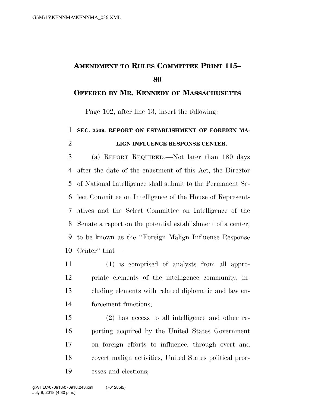## **AMENDMENT TO RULES COMMITTEE PRINT 115–**

## **OFFERED BY MR. KENNEDY OF MASSACHUSETTS**

Page 102, after line 13, insert the following:

## **SEC. 2509. REPORT ON ESTABLISHMENT OF FOREIGN MA-LIGN INFLUENCE RESPONSE CENTER.**

 (a) REPORT REQUIRED.—Not later than 180 days after the date of the enactment of this Act, the Director of National Intelligence shall submit to the Permanent Se- lect Committee on Intelligence of the House of Represent- atives and the Select Committee on Intelligence of the Senate a report on the potential establishment of a center, to be known as the ''Foreign Malign Influence Response Center'' that—

 (1) is comprised of analysts from all appro- priate elements of the intelligence community, in- cluding elements with related diplomatic and law en-forcement functions;

 (2) has access to all intelligence and other re- porting acquired by the United States Government on foreign efforts to influence, through overt and covert malign activities, United States political proc-esses and elections;